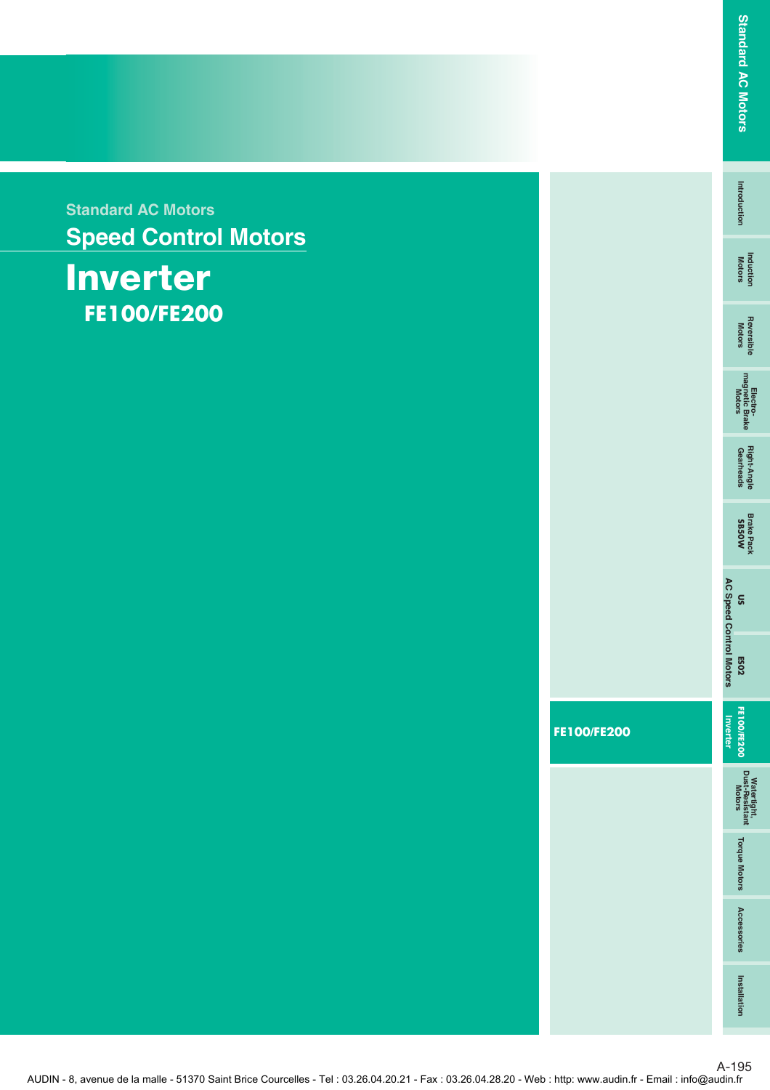**Standard AC Motors Speed Control Motors**

## **Inverter FE100 /FE200**

**Intro duction**

Introduction

**Induction Motors**

**Reversible**<br>Motors

**Reversible Motors Electro- magnetic Brake Motors Gearheads Right-Angle**

Right-Angle<br>Gearheads

Electro-<br>magnetic Brake<br>Motors

**Brake Pack SB50W**

**US**

**FE100/FE200**

AUDIN - 8, avenue de la malle - 51370 Saint Brice Courcelles - Tel : 03.26.04.20.21 - Fax : 03.26.04.28.20 - Web : http: www.audin.fr - Email : info@audin.fr

A-195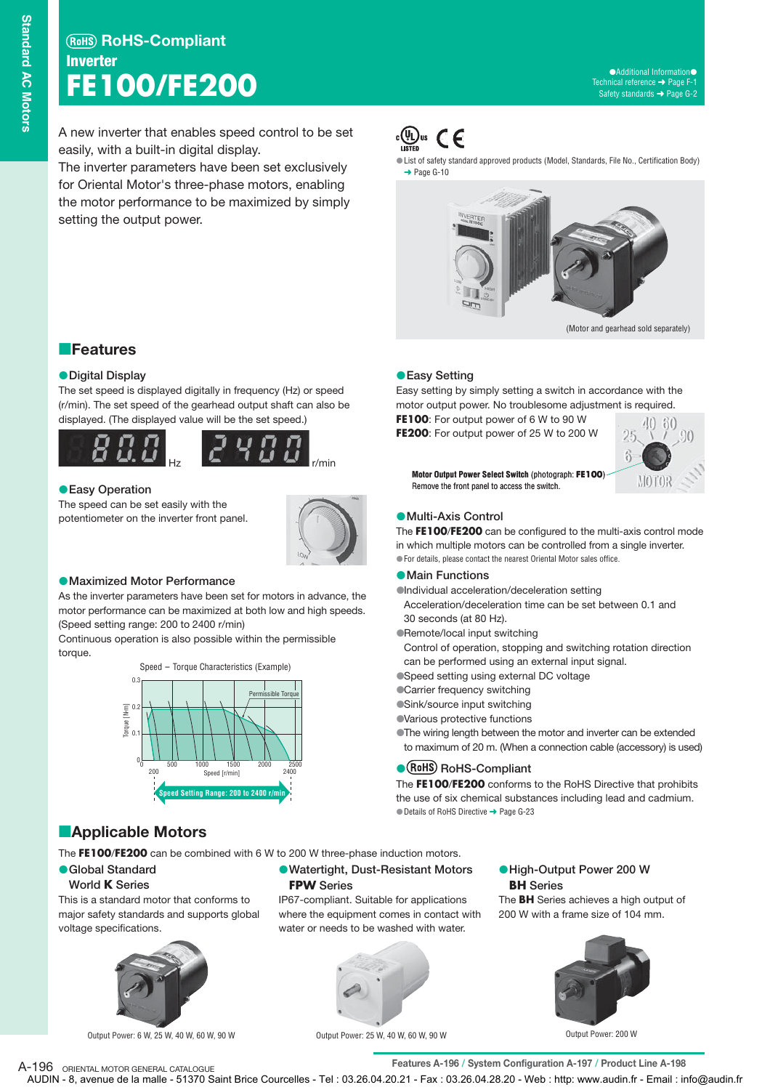A new inverter that enables speed control to be set easily, with a built-in digital display.

The inverter parameters have been set exclusively for Oriental Motor's three-phase motors, enabling the motor performance to be maximized by simply setting the output power.



List of safety standard approved products (Model, Standards, File No., Certification Body) → Page G-10



(Motor and gearhead sold separately)

## **Easy Setting**

Easy setting by simply setting a switch in accordance with the motor output power. No troublesome adjustment is required.

**FE100**: For output power of 6 W to 90 W **FE200**: For output power of 25 W to 200 W



**Motor Output Power Select Switch** (photograph: **FE100**) Remove the front panel to access the switch.

#### **Multi-Axis Control**

The **FE100**/**FE200** can be configured to the multi-axis control mode in which multiple motors can be controlled from a single inverter. For details, please contact the nearest Oriental Motor sales office.

#### **Main Functions**

Individual acceleration/deceleration setting

- Acceleration/deceleration time can be set between 0.1 and 30 seconds (at 80 Hz).
- Remote/local input switching

Control of operation, stopping and switching rotation direction can be performed using an external input signal.

Speed setting using external DC voltage

**Carrier frequency switching** 

Sink/source input switching

Various protective functions

The wiring length between the motor and inverter can be extended to maximum of 20 m. (When a connection cable (accessory) is used)

#### **• (RoHS)** RoHS-Compliant

The **FE100**/**FE200** conforms to the RoHS Directive that prohibits the use of six chemical substances including lead and cadmium. ● Details of RoHS Directive → Page G-23

## **Applicable Motors**

The **FE100**/**FE200** can be combined with 6 W to 200 W three-phase induction motors.

#### **Global Standard**

#### **World K Series**

This is a standard motor that conforms to major safety standards and supports global voltage specifications.



Output Power: 6 W, 25 W, 40 W, 60 W, 90 W

**• Global Standard COMBUST COMBUST COMBUSTER COMBUST COMBUSTER COMBUSTER COMBUSTER COMBUSTER COMBUSTER COMBUSTER COMBUSTER COMBUSTER COMBUSTER COMBUSTER COMBUSTER COMBUSTER COMBUSTER COMBUSTER COMBUSTER COMBUSTER COMBUSTER FPW Series**

> IP67-compliant. Suitable for applications where the equipment comes in contact with water or needs to be washed with water.



**BH Series** High-Output Power 200 W

The **BH** Series achieves a high output of 200 W with a frame size of 104 mm.



Output Power: 200 W

Output Power: 25 W, 40 W, 60 W, 90 W

A-196 ORIENTAL MOTOR GENERAL CATALOGUE<br> **Features A-196 / System Configuration A-197 / Product Line A-198** AUDIN - 8, avenue de la malle - 51370 Saint Brice Courcelles - Tel : 03.26.04.20.21 - Fax : 03.26.04.28.20 - Web : http: www.audin.fr - Email : info@audin.fr

**Features** 

#### **Digital Display**

The set speed is displayed digitally in frequency (Hz) or speed (r/min). The set speed of the gearhead output shaft can also be displayed. (The displayed value will be the set speed.)



#### **Easy Operation**

The speed can be set easily with the potentiometer on the inverter front panel.



#### **Maximized Motor Performance**

As the inverter parameters have been set for motors in advance, the motor performance can be maximized at both low and high speeds. (Speed setting range: 200 to 2400 r/min)

Continuous operation is also possible within the permissible torque.

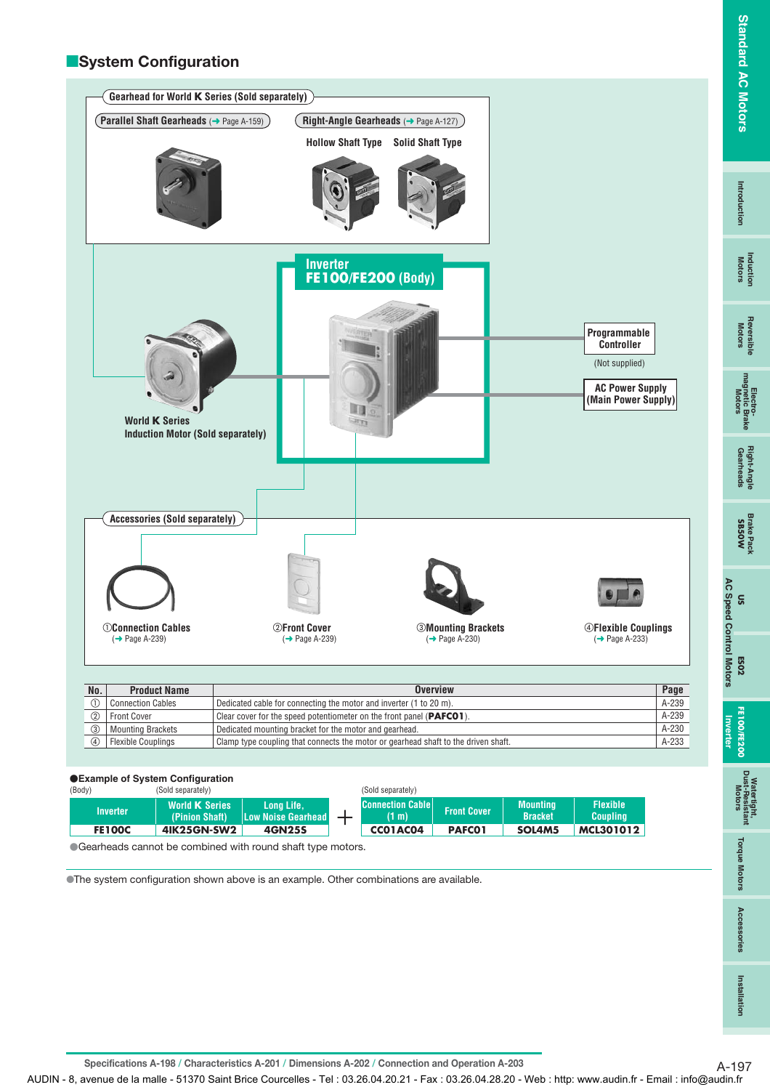## Installation **Installation**

**E**System Configuration



#### -**Example of System Configuration**

| (Body)          | (Sold separately)                                                                                     |        | (Sold separately)                |                    |                                   |                                    |
|-----------------|-------------------------------------------------------------------------------------------------------|--------|----------------------------------|--------------------|-----------------------------------|------------------------------------|
| <b>Inverter</b> | <b>World K Series</b><br><b>Long Life.</b><br>(Pinion Shaft)<br><b>Low Noise Gearhead</b>             |        | <b>Connection Cable</b><br>(1 m) | <b>Front Cover</b> | <b>Mounting</b><br><b>Bracket</b> | <b>Flexible</b><br><b>Coupling</b> |
| <b>FE100C</b>   | 41K25GN-SW2                                                                                           | 4GN25S | CCO1AC04                         | <b>PAFCO1</b>      | SOL4M5                            | MCL301012                          |
|                 | المستطيع معادلة والمساط والمستنمس والمشارعة والمتحدد والمستور والمستحدث والمستحدث والمستحدث والمستحدث |        |                                  |                    |                                   |                                    |

-Gearheads cannot be combined with round shaft type motors.

The system configuration shown above is an example. Other combinations are available.

Specifications A-198 / Characteristics A-201 / Dimensions A-202 / Connection and Operation A-203 A-197

AUDIN - 8, avenue de la malle - 51370 Saint Brice Courcelles - Tel : 03.26.04.20.21 - Fax : 03.26.04.28.20 - Web : http: www.audin.fr - Email : info@audin.fr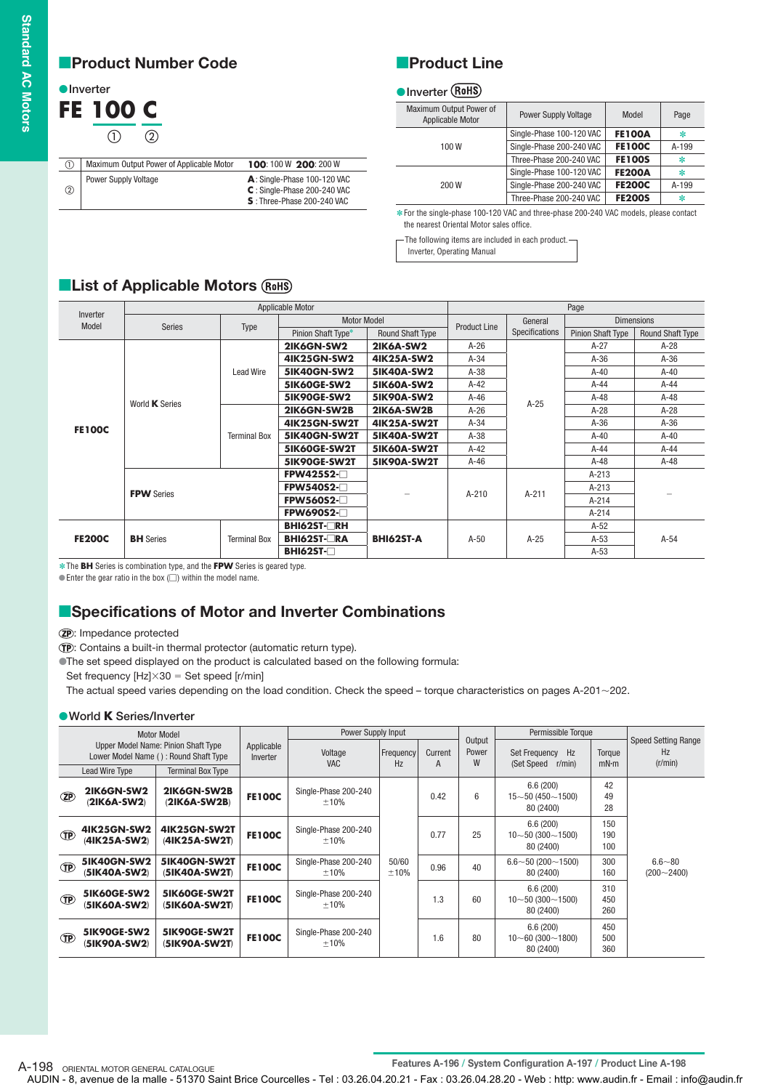$\overline{a}$  $\overline{a}$ 

## **Product Number Code**

### **O**Inverter **FE 100 C**  $(1)$  $(2)$

| (1) | 100:100 W 200:200 W                                                                        |
|-----|--------------------------------------------------------------------------------------------|
| (2) | A: Single-Phase 100-120 VAC<br>$C:$ Single-Phase 200-240 VAC<br>S: Three-Phase 200-240 VAC |
|     |                                                                                            |

## **Product Line**

#### **O**Inverter

| Maximum Output Power of<br>Applicable Motor | <b>Power Supply Voltage</b> | Model         | Page  |
|---------------------------------------------|-----------------------------|---------------|-------|
|                                             | Single-Phase 100-120 VAC    | <b>FE100A</b> | ∗     |
| 100W                                        | Single-Phase 200-240 VAC    | <b>FE100C</b> | A-199 |
|                                             | Three-Phase 200-240 VAC     | <b>FE100S</b> | ∗     |
|                                             | Single-Phase 100-120 VAC    | <b>FE200A</b> | ∗     |
| 200 W                                       | Single-Phase 200-240 VAC    | <b>FE200C</b> | A-199 |
|                                             | Three-Phase 200-240 VAC     | <b>FE200S</b> | ∗     |
|                                             |                             |               |       |

**∗** For the single-phase 100-120 VAC and three-phase 200-240 VAC models, please contact the nearest Oriental Motor sales office.

The following items are included in each product.

Inverter, Operating Manual

## **List of Applicable Motors**

|                   |                   |                     | Applicable Motor    |                         |                     | Page           |                          |                         |  |  |  |
|-------------------|-------------------|---------------------|---------------------|-------------------------|---------------------|----------------|--------------------------|-------------------------|--|--|--|
| Inverter<br>Model | Series            | Type                | <b>Motor Model</b>  |                         | <b>Product Line</b> | General        | <b>Dimensions</b>        |                         |  |  |  |
|                   |                   |                     | Pinion Shaft Type*  | <b>Round Shaft Type</b> |                     | Specifications | <b>Pinion Shaft Type</b> | <b>Round Shaft Type</b> |  |  |  |
|                   |                   |                     | 2IK6GN-SW2          | <b>2IK6A-SW2</b>        | $A-26$              |                | $A-27$                   | $A-28$                  |  |  |  |
|                   |                   |                     | <b>4IK25GN-SW2</b>  | 41K25A-SW2              | $A-34$              |                | $A-36$                   | $A-36$                  |  |  |  |
|                   |                   | <b>Lead Wire</b>    | <b>5IK40GN-SW2</b>  | <b>5IK40A-SW2</b>       | $A-38$              |                | $A-40$                   | $A-40$                  |  |  |  |
|                   |                   |                     | <b>5IK60GE-SW2</b>  | <b>5IK60A-SW2</b>       | $A-42$              |                | $A-44$                   | $A-44$                  |  |  |  |
|                   | World K Series    |                     | <b>5IK90GE-SW2</b>  | <b>5IK90A-SW2</b>       | $A-46$              | $A-25$         | $A-48$                   | $A-48$                  |  |  |  |
| <b>FE100C</b>     |                   |                     | 2IK6GN-SW2B         | 2IK6A-SW2B              | $A-26$              |                | $A-28$                   | $A-28$                  |  |  |  |
|                   |                   |                     | <b>4IK25GN-SW2T</b> | <b>4IK25A-SW2T</b>      | $A-34$              |                | $A-36$                   | $A-36$                  |  |  |  |
|                   |                   | <b>Terminal Box</b> | 5IK40GN-SW2T        | <b>5IK40A-SW2T</b>      | $A-38$              |                | $A-40$                   | $A-40$                  |  |  |  |
|                   |                   |                     | 5IK60GE-SW2T        | <b>5IK60A-SW2T</b>      | $A-42$              |                | A-44                     | $A-44$                  |  |  |  |
|                   |                   |                     | 5IK90GE-SW2T        | <b>5IK90A-SW2T</b>      | $A-46$              |                | $A-48$                   | $A-48$                  |  |  |  |
|                   |                   |                     | <b>FPW425S2-</b>    |                         |                     |                | $A-213$                  |                         |  |  |  |
|                   | <b>FPW</b> Series |                     | <b>FPW540S2-</b>    |                         | $A-210$             | $A-211$        | $A-213$                  |                         |  |  |  |
|                   |                   |                     | <b>FPW560S2-</b>    |                         |                     |                | $A-214$                  |                         |  |  |  |
|                   |                   |                     | <b>FPW690S2-</b>    |                         |                     |                | $A-214$                  |                         |  |  |  |
|                   |                   |                     | <b>BHI62ST-□RH</b>  |                         |                     |                | $A-52$                   |                         |  |  |  |
| <b>FE200C</b>     | <b>BH</b> Series  | <b>Terminal Box</b> | <b>BHI62ST-□RA</b>  | <b>BHI62ST-A</b>        | $A-50$              | $A-25$         | $A-53$                   | $A-54$                  |  |  |  |
|                   |                   |                     | <b>BHI62ST-</b> □   |                         |                     |                | $A-53$                   |                         |  |  |  |

**<sup>∗</sup>The BH** Series is combination type, and the **FPW** Series is geared type.

 $\bullet$  Enter the gear ratio in the box ( $\Box$ ) within the model name.

## **E**Specifications of Motor and Inverter Combinations

: Impedance protected

: Contains a built-in thermal protector (automatic return type).

The set speed displayed on the product is calculated based on the following formula:

Set frequency  $[Hz] \times 30 =$  Set speed [r/min]

The actual speed varies depending on the load condition. Check the speed – torque characteristics on pages A-201 $\sim$ 202.

#### **World K Series/Inverter**

|              |                                    | Motor Model                                                                  |                        | Power Supply Input           |                        |              |                      | Permissible Torque                                 | <b>Speed Setting Range</b> |                              |  |
|--------------|------------------------------------|------------------------------------------------------------------------------|------------------------|------------------------------|------------------------|--------------|----------------------|----------------------------------------------------|----------------------------|------------------------------|--|
|              |                                    | Upper Model Name: Pinion Shaft Type<br>Lower Model Name (): Round Shaft Type | Applicable<br>Inverter | Voltage<br><b>VAC</b>        | <b>Frequency</b><br>Hz | Current<br>A | Output<br>Power<br>W | Set Frequency<br>Hz<br>(Set Speed)<br>$r/min$ )    | Torque<br>mN·m             | Hz<br>(r/min)                |  |
|              | <b>Lead Wire Type</b>              | <b>Terminal Box Type</b>                                                     |                        |                              |                        |              |                      |                                                    |                            |                              |  |
| $\mathbf{Z}$ | 2IK6GN-SW2<br>(2IK6A-SW2)          | 2IK6GN-SW2B<br>(2IK6A-SW2B)                                                  | <b>FE100C</b>          | Single-Phase 200-240<br>±10% |                        | 0.42         | 6                    | 6.6(200)<br>$15 - 50(450 - 1500)$<br>80 (2400)     | 42<br>49<br>28             |                              |  |
| <b>TP</b>    | 41K25GN-SW2<br>(41K25A-SW2)        | <b>4IK25GN-SW2T</b><br>(41K25A-SW2T)                                         | <b>FE100C</b>          | Single-Phase 200-240<br>±10% |                        | 0.77         | 25                   | 6.6(200)<br>$10\neg 50(300\neg 1500)$<br>80 (2400) | 150<br>190<br>100          |                              |  |
| <b>TP</b>    | <b>5IK40GN-SW2</b><br>(51K40A-SW2) | 5IK40GN-SW2T<br>(51K40A-SW2T)                                                | <b>FE100C</b>          | Single-Phase 200-240<br>±10% | 50/60<br>±10%          | 0.96         | 40                   | $6.6 \sim 50 (200 \sim 1500)$<br>80 (2400)         | 300<br>160                 | $6.6 - 80$<br>$(200 - 2400)$ |  |
| <b>TP</b>    | <b>5IK60GE-SW2</b><br>(51K60A-SW2) | 5IK60GE-SW2T<br>(51K60A-SW2T)                                                | <b>FE100C</b>          | Single-Phase 200-240<br>±10% |                        | 1.3          | 60                   | 6.6(200)<br>$10\sim 50(300\sim 1500)$<br>80 (2400) | 310<br>450<br>260          |                              |  |
| <b>TP</b>    | <b>5IK90GE-SW2</b><br>(51K90A-SW2) | 5IK90GE-SW2T<br>(51K90A-SW2T)                                                | <b>FE100C</b>          | Single-Phase 200-240<br>±10% |                        | 1.6          | 80                   | 6.6(200)<br>$10\neg 60(300\neg 1800)$<br>80 (2400) | 450<br>500<br>360          |                              |  |

A-198 ORIENTAL MOTOR GENERAL CATALOGUE<br> **Features A-196 / System Configuration A-197 / Product Line A-198**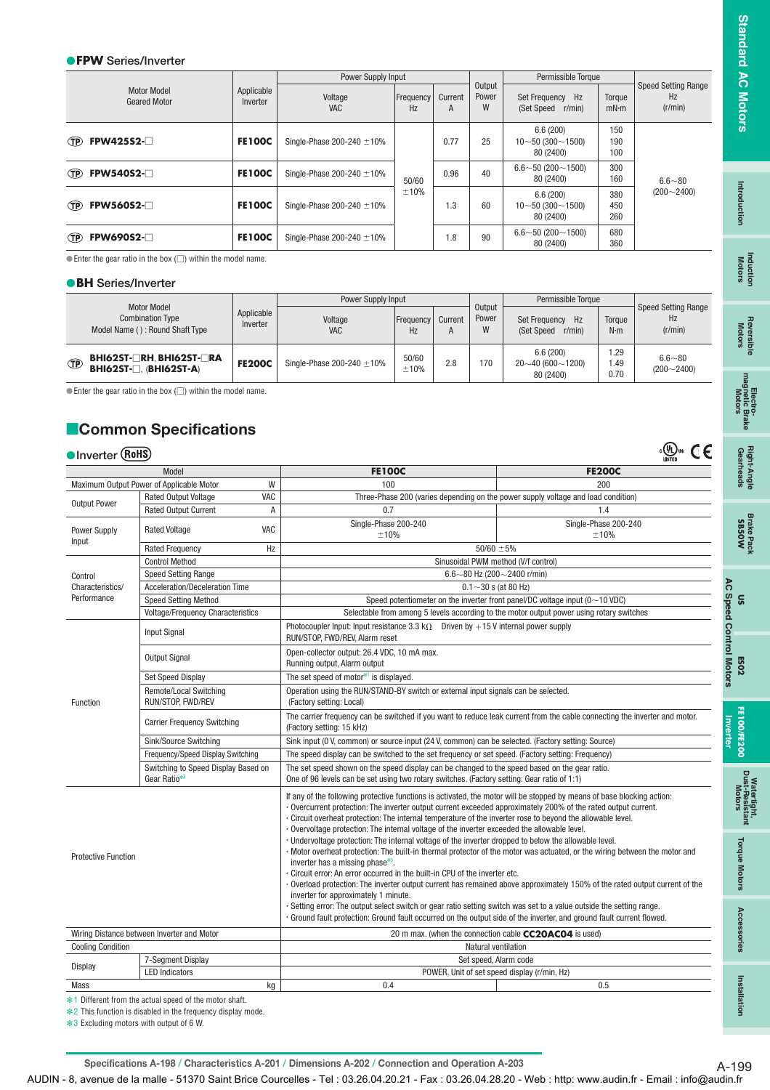#### **FPW Series/Inverter**

|                                           |                        | Power Supply Input             |                 |      |                      | Permissible Torque                             |                   |                                             |
|-------------------------------------------|------------------------|--------------------------------|-----------------|------|----------------------|------------------------------------------------|-------------------|---------------------------------------------|
| <b>Motor Model</b><br><b>Geared Motor</b> | Applicable<br>Inverter | Voltage<br><b>VAC</b>          | Frequency<br>Hz |      | Output<br>Power<br>W | Set Frequency Hz<br>(Set Speed r/min)          | Torque<br>mN·m    | <b>Speed Setting Range</b><br>Hz<br>(r/min) |
| <b>FPW425S2-</b><br><b>TP</b>             | <b>FE100C</b>          | Single-Phase 200-240 $\pm$ 10% |                 | 0.77 | 25                   | 6.6(200)<br>$10 - 50(300 - 1500)$<br>80 (2400) | 150<br>190<br>100 |                                             |
| <b>FPW540S2-</b><br><b>TP</b>             | <b>FE100C</b>          | Single-Phase 200-240 $\pm$ 10% | 50/60           | 0.96 | 40                   | $6.6 \sim 50 (200 \sim 1500)$<br>80 (2400)     | 300<br>160        | $6.6 - 80$                                  |
| <b>FPW560S2-</b><br><b>TP</b>             | <b>FE100C</b>          | Single-Phase 200-240 $\pm$ 10% | ±10%            | 1.3  | 60                   | 6.6(200)<br>$10 - 50(300 - 1500)$<br>80 (2400) | 380<br>450<br>260 | $(200 - 2400)$                              |
| <b>FPW690S2-</b><br>(TP)                  | <b>FE100C</b>          | Single-Phase 200-240 $\pm$ 10% |                 | 1.8  | 90                   | $6.6 \sim 50 (200 \sim 1500)$<br>80 (2400)     | 680<br>360        |                                             |

 $\bullet$  Enter the gear ratio in the box ( $\Box$ ) within the model name.

#### **BH Series/Inverter**

|                                                                                  |                        | Power Supply Input             |                 |              |                      | Permissible Torque                             |                       |                                             |
|----------------------------------------------------------------------------------|------------------------|--------------------------------|-----------------|--------------|----------------------|------------------------------------------------|-----------------------|---------------------------------------------|
| <b>Motor Model</b><br><b>Combination Type</b><br>Model Name (): Round Shaft Type | Applicable<br>Inverter | Voltage<br><b>VAC</b>          | Frequency<br>Hz | Current<br>A | Output<br>Power<br>W | Set Frequency Hz<br>$r/min$ )<br>(Set Speed)   | Torque<br>$N \cdot m$ | <b>Speed Setting Range</b><br>Hz<br>(r/min) |
| <b>BHI62ST-□RH, BHI62ST-□RA</b><br><b>TP</b><br><b>BHI62ST-O, (BHI62ST-A)</b>    | <b>FE200C</b>          | Single-Phase 200-240 $\pm$ 10% | 50/60<br>±10%   | 2.8          | 170                  | 6.6(200)<br>$20 - 40(600 - 1200)$<br>80 (2400) | i.29<br>1.49<br>0.70  | $6.6 - 80$<br>$(200 - 2400)$                |

 $\bullet$  Enter the gear ratio in the box ( $\Box$ ) within the model name.

## **Common Specifications**

| Inverter (RoHS)                            |                                                        |     |                                                                                                                                                                                                                                                                                                                                                                                                                                                                                                                                                                                                                                                                                                                                                                                                                                                                                                                                                                                                                                                                                                           |                                                                                                                           |  |  |  |  |  |  |  |  |  |  |
|--------------------------------------------|--------------------------------------------------------|-----|-----------------------------------------------------------------------------------------------------------------------------------------------------------------------------------------------------------------------------------------------------------------------------------------------------------------------------------------------------------------------------------------------------------------------------------------------------------------------------------------------------------------------------------------------------------------------------------------------------------------------------------------------------------------------------------------------------------------------------------------------------------------------------------------------------------------------------------------------------------------------------------------------------------------------------------------------------------------------------------------------------------------------------------------------------------------------------------------------------------|---------------------------------------------------------------------------------------------------------------------------|--|--|--|--|--|--|--|--|--|--|
|                                            | Model                                                  |     | <b>FE100C</b>                                                                                                                                                                                                                                                                                                                                                                                                                                                                                                                                                                                                                                                                                                                                                                                                                                                                                                                                                                                                                                                                                             | <b>FE200C</b>                                                                                                             |  |  |  |  |  |  |  |  |  |  |
|                                            | Maximum Output Power of Applicable Motor               | W   | 100                                                                                                                                                                                                                                                                                                                                                                                                                                                                                                                                                                                                                                                                                                                                                                                                                                                                                                                                                                                                                                                                                                       | 200                                                                                                                       |  |  |  |  |  |  |  |  |  |  |
| <b>Output Power</b>                        | <b>Rated Output Voltage</b>                            | VAC |                                                                                                                                                                                                                                                                                                                                                                                                                                                                                                                                                                                                                                                                                                                                                                                                                                                                                                                                                                                                                                                                                                           | Three-Phase 200 (varies depending on the power supply voltage and load condition)                                         |  |  |  |  |  |  |  |  |  |  |
|                                            | <b>Rated Output Current</b>                            | A   | 0.7                                                                                                                                                                                                                                                                                                                                                                                                                                                                                                                                                                                                                                                                                                                                                                                                                                                                                                                                                                                                                                                                                                       | 1.4                                                                                                                       |  |  |  |  |  |  |  |  |  |  |
| <b>Power Supply</b><br>Input               | <b>Rated Voltage</b>                                   | VAC | Single-Phase 200-240<br>±10%                                                                                                                                                                                                                                                                                                                                                                                                                                                                                                                                                                                                                                                                                                                                                                                                                                                                                                                                                                                                                                                                              | Single-Phase 200-240<br>±10%                                                                                              |  |  |  |  |  |  |  |  |  |  |
|                                            | <b>Rated Frequency</b>                                 | Hz  |                                                                                                                                                                                                                                                                                                                                                                                                                                                                                                                                                                                                                                                                                                                                                                                                                                                                                                                                                                                                                                                                                                           | $50/60 \pm 5\%$                                                                                                           |  |  |  |  |  |  |  |  |  |  |
|                                            | <b>Control Method</b>                                  |     |                                                                                                                                                                                                                                                                                                                                                                                                                                                                                                                                                                                                                                                                                                                                                                                                                                                                                                                                                                                                                                                                                                           | Sinusoidal PWM method (V/f control)                                                                                       |  |  |  |  |  |  |  |  |  |  |
| Control                                    | <b>Speed Setting Range</b>                             |     | 6.6~80 Hz (200~2400 r/min)                                                                                                                                                                                                                                                                                                                                                                                                                                                                                                                                                                                                                                                                                                                                                                                                                                                                                                                                                                                                                                                                                |                                                                                                                           |  |  |  |  |  |  |  |  |  |  |
| Characteristics/                           | Acceleration/Deceleration Time                         |     |                                                                                                                                                                                                                                                                                                                                                                                                                                                                                                                                                                                                                                                                                                                                                                                                                                                                                                                                                                                                                                                                                                           | $0.1 - 30$ s (at 80 Hz)                                                                                                   |  |  |  |  |  |  |  |  |  |  |
| Performance                                | <b>Speed Setting Method</b>                            |     |                                                                                                                                                                                                                                                                                                                                                                                                                                                                                                                                                                                                                                                                                                                                                                                                                                                                                                                                                                                                                                                                                                           | Speed potentiometer on the inverter front panel/DC voltage input ( $0 \sim 10$ VDC)                                       |  |  |  |  |  |  |  |  |  |  |
|                                            | <b>Voltage/Frequency Characteristics</b>               |     |                                                                                                                                                                                                                                                                                                                                                                                                                                                                                                                                                                                                                                                                                                                                                                                                                                                                                                                                                                                                                                                                                                           | Selectable from among 5 levels according to the motor output power using rotary switches                                  |  |  |  |  |  |  |  |  |  |  |
|                                            | <b>Input Signal</b>                                    |     | Photocoupler Input: Input resistance 3.3 k $\Omega$ Driven by +15 V internal power supply<br>RUN/STOP, FWD/REV, Alarm reset                                                                                                                                                                                                                                                                                                                                                                                                                                                                                                                                                                                                                                                                                                                                                                                                                                                                                                                                                                               |                                                                                                                           |  |  |  |  |  |  |  |  |  |  |
|                                            | <b>Output Signal</b>                                   |     | Open-collector output: 26.4 VDC, 10 mA max.<br>Running output, Alarm output                                                                                                                                                                                                                                                                                                                                                                                                                                                                                                                                                                                                                                                                                                                                                                                                                                                                                                                                                                                                                               |                                                                                                                           |  |  |  |  |  |  |  |  |  |  |
|                                            | <b>Set Speed Display</b>                               |     | The set speed of motor*1 is displayed.                                                                                                                                                                                                                                                                                                                                                                                                                                                                                                                                                                                                                                                                                                                                                                                                                                                                                                                                                                                                                                                                    |                                                                                                                           |  |  |  |  |  |  |  |  |  |  |
| Function                                   | Remote/Local Switching<br>RUN/STOP, FWD/REV            |     | Operation using the RUN/STAND-BY switch or external input signals can be selected.<br>(Factory setting: Local)                                                                                                                                                                                                                                                                                                                                                                                                                                                                                                                                                                                                                                                                                                                                                                                                                                                                                                                                                                                            |                                                                                                                           |  |  |  |  |  |  |  |  |  |  |
|                                            | <b>Carrier Frequency Switching</b>                     |     | The carrier frequency can be switched if you want to reduce leak current from the cable connecting the inverter and motor.<br>(Factory setting: 15 kHz)                                                                                                                                                                                                                                                                                                                                                                                                                                                                                                                                                                                                                                                                                                                                                                                                                                                                                                                                                   |                                                                                                                           |  |  |  |  |  |  |  |  |  |  |
|                                            | Sink/Source Switching                                  |     | Sink input (0 V, common) or source input (24 V, common) can be selected. (Factory setting: Source)                                                                                                                                                                                                                                                                                                                                                                                                                                                                                                                                                                                                                                                                                                                                                                                                                                                                                                                                                                                                        |                                                                                                                           |  |  |  |  |  |  |  |  |  |  |
|                                            | Frequency/Speed Display Switching                      |     | The speed display can be switched to the set frequency or set speed. (Factory setting: Frequency)                                                                                                                                                                                                                                                                                                                                                                                                                                                                                                                                                                                                                                                                                                                                                                                                                                                                                                                                                                                                         |                                                                                                                           |  |  |  |  |  |  |  |  |  |  |
|                                            | Switching to Speed Display Based on<br>Gear Ratio*2    |     | The set speed shown on the speed display can be changed to the speed based on the gear ratio.<br>One of 96 levels can be set using two rotary switches. (Factory setting: Gear ratio of 1:1)                                                                                                                                                                                                                                                                                                                                                                                                                                                                                                                                                                                                                                                                                                                                                                                                                                                                                                              |                                                                                                                           |  |  |  |  |  |  |  |  |  |  |
| <b>Protective Function</b>                 |                                                        |     | If any of the following protective functions is activated, the motor will be stopped by means of base blocking action:<br>. Overcurrent protection: The inverter output current exceeded approximately 200% of the rated output current.<br>. Circuit overheat protection: The internal temperature of the inverter rose to beyond the allowable level.<br>. Overvoltage protection: The internal voltage of the inverter exceeded the allowable level.<br>· Undervoltage protection: The internal voltage of the inverter dropped to below the allowable level.<br>. Motor overheat protection: The built-in thermal protector of the motor was actuated, or the wiring between the motor and<br>inverter has a missing phase*3.<br>. Circuit error: An error occurred in the built-in CPU of the inverter etc.<br>inverter for approximately 1 minute.<br>· Setting error: The output select switch or gear ratio setting switch was set to a value outside the setting range.<br>· Ground fault protection: Ground fault occurred on the output side of the inverter, and ground fault current flowed. | Overload protection: The inverter output current has remained above approximately 150% of the rated output current of the |  |  |  |  |  |  |  |  |  |  |
| Wiring Distance between Inverter and Motor |                                                        |     |                                                                                                                                                                                                                                                                                                                                                                                                                                                                                                                                                                                                                                                                                                                                                                                                                                                                                                                                                                                                                                                                                                           | 20 m max. (when the connection cable CC20AC04 is used)                                                                    |  |  |  |  |  |  |  |  |  |  |
| <b>Cooling Condition</b>                   |                                                        |     |                                                                                                                                                                                                                                                                                                                                                                                                                                                                                                                                                                                                                                                                                                                                                                                                                                                                                                                                                                                                                                                                                                           | Natural ventilation                                                                                                       |  |  |  |  |  |  |  |  |  |  |
|                                            | 7-Segment Display                                      |     |                                                                                                                                                                                                                                                                                                                                                                                                                                                                                                                                                                                                                                                                                                                                                                                                                                                                                                                                                                                                                                                                                                           | Set speed, Alarm code                                                                                                     |  |  |  |  |  |  |  |  |  |  |
| <b>Display</b>                             | <b>LED</b> Indicators                                  |     |                                                                                                                                                                                                                                                                                                                                                                                                                                                                                                                                                                                                                                                                                                                                                                                                                                                                                                                                                                                                                                                                                                           | POWER, Unit of set speed display (r/min, Hz)                                                                              |  |  |  |  |  |  |  |  |  |  |
| Mass<br>kg                                 |                                                        |     | 0.4                                                                                                                                                                                                                                                                                                                                                                                                                                                                                                                                                                                                                                                                                                                                                                                                                                                                                                                                                                                                                                                                                                       | 0.5                                                                                                                       |  |  |  |  |  |  |  |  |  |  |
|                                            | *1 Different from the actual speed of the motor shaft. |     |                                                                                                                                                                                                                                                                                                                                                                                                                                                                                                                                                                                                                                                                                                                                                                                                                                                                                                                                                                                                                                                                                                           |                                                                                                                           |  |  |  |  |  |  |  |  |  |  |

✽

2 This function is disabled in the frequency display mode.

**∗3** Excluding motors with output of 6 W.

Specifications A-198 / Characteristics A-201 / Dimensions A-202 / Connection and Operation A-203 A-199

AUDIN - 8, avenue de la malle - 51370 Saint Brice Courcelles - Tel : 03.26.04.20.21 - Fax : 03.26.04.28.20 - Web : http: www.audin.fr - Email : info@audin.fr

Introduction **Intro duction**

**Induction Motors**

Right-Angle<br>Gearheads

**Brake Pack SB50W**

**FE100/FE200**

Watertight,<br>Dust-Resistant<br>Motors

**Torque Motors** 

**Inverter**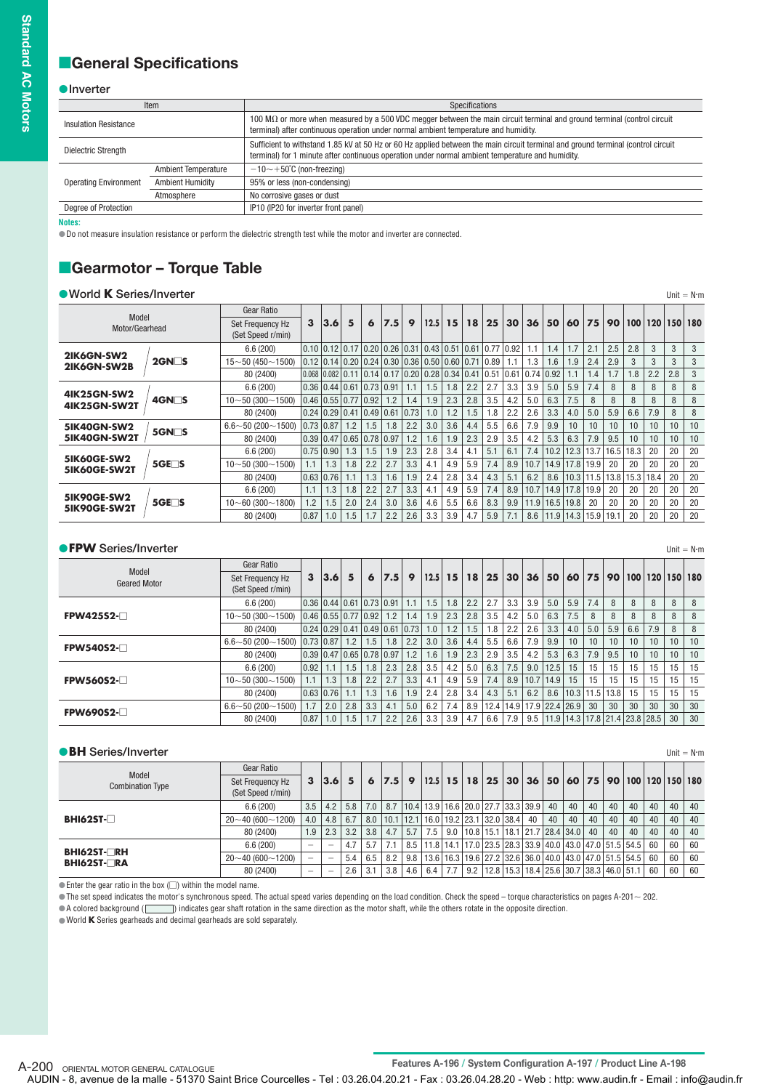## **General Specifications**

#### **O**Inverter

|                              | Item                       | Specifications                                                                                                                                                                                                                       |  |  |  |  |  |  |  |  |  |
|------------------------------|----------------------------|--------------------------------------------------------------------------------------------------------------------------------------------------------------------------------------------------------------------------------------|--|--|--|--|--|--|--|--|--|
| <b>Insulation Resistance</b> |                            | 100 $\mathsf{M}\Omega$ or more when measured by a 500 VDC megger between the main circuit terminal and ground terminal (control circuit<br>terminal) after continuous operation under normal ambient temperature and humidity.       |  |  |  |  |  |  |  |  |  |
| Dielectric Strength          |                            | Sufficient to withstand 1.85 kV at 50 Hz or 60 Hz applied between the main circuit terminal and ground terminal (control circuit<br>terminal) for 1 minute after continuous operation under normal ambient temperature and humidity. |  |  |  |  |  |  |  |  |  |
|                              | <b>Ambient Temperature</b> | $-10$ $\sim$ +50 $^{\circ}$ C (non-freezing)                                                                                                                                                                                         |  |  |  |  |  |  |  |  |  |
| <b>Operating Environment</b> | <b>Ambient Humidity</b>    | 95% or less (non-condensing)                                                                                                                                                                                                         |  |  |  |  |  |  |  |  |  |
|                              | Atmosphere                 | No corrosive gases or dust                                                                                                                                                                                                           |  |  |  |  |  |  |  |  |  |
| Degree of Protection         |                            | IP10 (IP20 for inverter front panel)                                                                                                                                                                                                 |  |  |  |  |  |  |  |  |  |

**Notes:**

Do not measure insulation resistance or perform the dielectric strength test while the motor and inverter are connected.

## **Gearmotor - Torque Table**

| ● World K Series/Inverter          |                    |                                       |      |                                                                                                                              |     |     |     |                    |      |     |     |     |     |      |                            |      |                 |      |                      |                 |     | Unit = $N \cdot m$ |
|------------------------------------|--------------------|---------------------------------------|------|------------------------------------------------------------------------------------------------------------------------------|-----|-----|-----|--------------------|------|-----|-----|-----|-----|------|----------------------------|------|-----------------|------|----------------------|-----------------|-----|--------------------|
|                                    |                    | <b>Gear Ratio</b>                     |      |                                                                                                                              |     |     |     |                    |      |     |     |     |     |      |                            |      |                 |      |                      |                 |     |                    |
| Model<br>Motor/Gearhead            |                    | Set Frequency Hz<br>(Set Speed r/min) | 3    | 3.6                                                                                                                          | 5   | 6   | 7.5 | 9                  | 12.5 | 15  | 18  | 25  | 30  | 36   | 50                         | 60   | 75              | 90   |                      | $100$   120     |     | 150 180            |
|                                    |                    | 6.6(200)                              |      | $\vert 0.10 \vert 0.12 \vert 0.17 \vert 0.20 \vert 0.26 \vert 0.31 \vert 0.43 \vert 0.51 \vert 0.61 \vert 0.77 \vert 0.92$   |     |     |     |                    |      |     |     |     |     | 1.1  | 1.4                        | 1.7  | 2.1             | 2.5  | 2.8                  | 3               | 3   | 3                  |
| 2IK6GN-SW2<br>2IK6GN-SW2B          | $2$ GN $\Box$ S    | $15 - 50(450 - 1500)$                 |      | $\vert 0.12 \vert 0.14 \vert 0.20 \vert 0.24 \vert 0.30 \vert 0.36 \vert 0.50 \vert 0.60 \vert 0.71 \vert 0.89$              |     |     |     |                    |      |     |     |     | 1.1 | 1.3  | 1.6                        | 1.9  | 2.4             | 2.9  | 3                    | 3               | 3   | 3                  |
|                                    |                    | 80 (2400)                             |      | $\vert 0.068 \vert 0.082 \vert 0.11 \vert 0.14 \vert 0.17 \vert 0.20 \vert 0.28 \vert 0.34 \vert 0.41 \vert 0.51 \vert 0.61$ |     |     |     |                    |      |     |     |     |     |      | 0.7410.92                  | 1.1  | 1.4             | 1.7  | 1.8                  | 2.2             | 2.8 | 3                  |
| <b>4IK25GN-SW2</b>                 |                    | 6.6(200)                              |      | $0.36$ $0.44$ $0.61$ $0.73$ $0.91$                                                                                           |     |     |     | 1.1                | 1.5  | 1.8 | 2.2 | 2.7 | 3.3 | 3.9  | 5.0                        | 5.9  | 7.4             | 8    | 8                    |                 | 8   | 8                  |
| <b>4IK25GN-SW2T</b>                | 4GN□S              | $10 - 50(300 - 1500)$                 |      | $\vert 0.46 \vert 0.55 \vert 0.77 \vert 0.92 \vert$                                                                          |     |     | 1.2 | 1.4                | 1.9  | 2.3 | 2.8 | 3.5 | 4.2 | 5.0  | 6.3                        | 7.5  | 8               | 8    | 8                    | 8               | 8   | 8                  |
|                                    |                    | 80 (2400)                             |      | $0.24 \times 0.29 \times 41 \times 49 \times 61$                                                                             |     |     |     | $\vert 0.73 \vert$ | 1.0  | 1.2 | 1.5 | 1.8 | 2.2 | 2.6  | 3.3                        | 4.0  | 5.0             | 5.9  | 6.6                  | 7.9             | 8   | 8                  |
| <b>5IK40GN-SW2</b>                 | $5$ GN $\square$ S | $6.6 \sim 50 (200 \sim 1500)$         |      | $0.73$ 0.87                                                                                                                  | 1.2 | 1.5 | 1.8 | 2.2                | 3.0  | 3.6 | 4.4 | 5.5 | 6.6 | 7.9  | 9.9                        | 10   | 10 <sup>1</sup> | 10   | 10                   | 10 <sup>1</sup> | 10  | 10                 |
| 5IK40GN-SW2T                       |                    | 80 (2400)                             |      | $0.39$ $0.47$ $0.65$ $0.78$ $0.97$                                                                                           |     |     |     | 1.2                | 1.6  | 1.9 | 2.3 | 2.9 | 3.5 | 4.2  | 5.3                        | 6.3  | 7.9             | 9.5  | 10                   | 10 <sup>1</sup> | 10  | 10                 |
|                                    |                    | 6.6(200)                              |      | $0.75$ $0.90$ $ $                                                                                                            | 1.3 | 1.5 | 1.9 | 2.3                | 2.8  | 3.4 | 4.1 | 5.1 | 6.1 | 7.4  | 10.2                       |      | $12.3$   13.7   | 16.5 | 18.3                 | 20              | 20  | 20                 |
| <b>5IK60GE-SW2</b><br>5IK60GE-SW2T | $5GE\square$       | $10\sim 50(300\sim 1500)$             | 1.1  | 1.3                                                                                                                          | 1.8 | 2.2 | 2.7 | 3.3                | 4.1  | 4.9 | 5.9 | 7.4 | 8.9 | 10.7 |                            |      | 14.9 17.8 19.9  | 20   | 20                   | 20              | 20  | 20                 |
|                                    |                    | 80 (2400)                             | 0.63 | 0.76                                                                                                                         | 11  | 1.3 | 1.6 | 1.9                | 2.4  | 2.8 | 3.4 | 4.3 | 5.1 | 6.2  | 8.6                        |      | $10.3$   11.5   |      | $13.8$   15.3   18.4 |                 | 20  | 20                 |
|                                    |                    | 6.6(200)                              | 1.1  | 1.3                                                                                                                          | 1.8 | 2.2 | 2.7 | 3.3                | 4.1  | 4.9 | 5.9 | 7.4 | 8.9 | 10.7 | 14.9                       |      | 17.8 19.9       | 20   | 20                   | 20              | 20  | 20                 |
| <b>5IK90GE-SW2</b><br>5IK90GE-SW2T | $5GE \Box S$       | $10 - 60(300 - 1800)$                 | 1.2  | 1.5                                                                                                                          | 2.0 | 2.4 | 3.0 | 3.6                | 4.6  | 5.5 | 6.6 | 8.3 | 9.9 | 11.9 | 16.5                       | 19.8 | 20              | 20   | 20                   | 20              | 20  | 20                 |
|                                    |                    | 80 (2400)                             | 0.87 | 1.0                                                                                                                          | 1.5 | 1.7 | 2.2 | 2.6                | 3.3  | 3.9 | 4.7 | 5.9 | 7.1 |      | $8.6$   11.9   14.3   15.9 |      |                 | 19.1 | 20                   | 20              | 20  | 20                 |

#### **FPW** Series/Inverter **Nm** Unit = Nm

|                              | Gear Ratio                            |              |                             |     |     |                                                                |           |      |     |     |                          |     |     |               |     |     |                      |     |                                               |         |    |
|------------------------------|---------------------------------------|--------------|-----------------------------|-----|-----|----------------------------------------------------------------|-----------|------|-----|-----|--------------------------|-----|-----|---------------|-----|-----|----------------------|-----|-----------------------------------------------|---------|----|
| Model<br><b>Geared Motor</b> | Set Frequency Hz<br>(Set Speed r/min) | $\mathbf{3}$ | 3.6                         | 5   | 6   | 7.5                                                            | - 9       | 12.5 | 15  | 18  | 25                       | 30  | 36  | 50            | 60  | 75  | 90                   |     | $100$   120                                   | 150 180 |    |
|                              | 6.6(200)                              |              |                             |     |     | $\vert 0.36 \vert 0.44 \vert 0.61 \vert 0.73 \vert 0.91 \vert$ | 1.1       | 1.5  | 1.8 | 2.2 | 2.7                      | 3.3 | 3.9 | 5.0           | 5.9 | 7.4 | 8                    | 8   | 8                                             | 8       | 8  |
| FPW425S2-                    | $10 - 50(300 - 1500)$                 |              | $0.46$   0.55   0.77   0.92 |     |     | 1.2                                                            | 1.4       | 1.9  | 2.3 | 2.8 | 3.5                      | 4.2 | 5.0 | 6.3           | 7.5 | 8   | 8                    | 8   | 8                                             | 8       | 8  |
|                              | 80 (2400)                             |              |                             |     |     | $0.24$ $0.29$ $0.41$ $0.49$ $0.61$ $0.73$ $\vert$              |           | 1.0  | 1.2 | .5  | 1.8                      | 2.2 | 2.6 | 3.3           | 4.0 | 5.0 | 5.9                  | 6.6 | 7.9                                           | 8       | 8  |
| <b>FPW540S2-</b>             | $6.6 \sim 50$ (200 $\sim$ 1500)       |              | $0.73$ 0.87   1.2           |     | 1.5 | 1.8                                                            | 2.2       | 3.0  | 3.6 | 4.4 | 5.5                      | 6.6 | 7.9 | 9.9           | 10  | 10  | 10                   | 10  | 10                                            | 10      | 10 |
|                              | 80 (2400)                             |              |                             |     |     | $0.39$ $0.47$ $0.65$ $0.78$ $0.97$ $\;$                        | $-1.2$ 1. | 1.6  | 1.9 | 2.3 | 2.9                      | 3.5 | 4.2 | 5.3           | 6.3 | 7.9 | 9.5                  | 10  | 10                                            | 10      | 10 |
|                              | 6.6(200)                              | 0.92         | 1.1                         | 1.5 | 1.8 | 2.3                                                            | 2.8       | 3.5  | 4.2 | 5.0 | 6.3                      | 7.5 | 9.0 | 12.5          | 15  | 15  | 15                   | 15  | 15                                            | 15      | 15 |
| <b>FPW560S2-</b>             | $10\neg 50(300\neg 1500)$             | 1.1          | 1.3                         | 1.8 | 2.2 | 2.7                                                            | 3.3       | 4.1  | 4.9 | 5.9 | 7.4                      | 8.9 |     | $10.7$   14.9 | 15  | 15  | 15                   | 15  | 15                                            | 15      | 15 |
|                              | 80 (2400)                             |              | $0.63$ 0.76                 |     | 1.3 | 1.6                                                            | 1.9       | 2.4  | 2.8 | 3.4 | 4.3                      | 5.1 | 6.2 | 8.6           |     |     | $10.3$   11.5   13.8 | 15  | 15                                            | 15      | 15 |
| <b>FPW690S2-</b>             | $6.6 \sim 50$ (200 $\sim$ 1500)       | 1.7          | 2.0                         | 2.8 | 3.3 | 4.1                                                            | 5.0       | 6.2  | 7.4 | 8.9 | 12.4 14.9 17.9 22.4 26.9 |     |     |               |     | 30  | 30                   | 30  | 30                                            | 30      | 30 |
|                              | 80 (2400)                             | 0.87         | 1.0                         | .5  | 1.7 | 2.2                                                            | 2.6       | 3.3  | 3.9 | 4.7 | 6.6                      | 7.9 |     |               |     |     |                      |     | 9.5   11.9   14.3   17.8   21.4   23.8   28.5 | 30      | 30 |

| <b>BH</b> Series/Inverter                |                                       |     |                          |           |     |                                                      |     |     |     |                                                                                    |       |    |    |    |            |    |    |    | Unit = $N \cdot m$    |
|------------------------------------------|---------------------------------------|-----|--------------------------|-----------|-----|------------------------------------------------------|-----|-----|-----|------------------------------------------------------------------------------------|-------|----|----|----|------------|----|----|----|-----------------------|
|                                          | Gear Ratio                            |     |                          |           |     |                                                      |     |     |     |                                                                                    |       |    |    |    |            |    |    |    |                       |
| Model<br><b>Combination Type</b>         | Set Frequency Hz<br>(Set Speed r/min) | 3   |                          | $ 3.6 $ 5 | 6   | 7.5 9                                                |     |     |     | 12.5   15   18   25   30                                                           | 36 50 |    |    |    | $60$ 75 90 |    |    |    | 100   120   150   180 |
|                                          | 6.6(200)                              | 3.5 | 4.2                      | 5.8       | 7.0 |                                                      |     |     |     | 8.7   10.4   13.9   16.6   20.0   27.7   33.3   39.9   40                          |       |    | 40 | 40 | 40         | 40 | 40 | 40 | 40                    |
| $BHI62ST-T$                              | $20 - 40(600 - 1200)$                 | 4.0 | 4.8                      | 6.7       |     | 8.0   10.1   12.1   16.0   19.2   23.1   32.0   38.4 |     |     |     |                                                                                    | 40    | 40 | 40 | 40 | 40         | 40 | 40 | 40 | 40                    |
|                                          | 80 (2400)                             | 1.9 | 2.3                      | 3.2       | 3.8 | 4.7                                                  | 5.7 | 7.5 |     | $9.0$   10.8   15.1   18.1   21.7   28.4   34.0   40                               |       |    |    |    | 40         | 40 | 40 | 40 | 40                    |
|                                          | 6.6(200)                              | -   | $\overline{\phantom{a}}$ | 4.7       | 5.7 |                                                      |     |     |     | 8.5   11.8   14.1   17.0   23.5   28.3   33.9   40.0   43.0   47.0   51.5   54.5   |       |    |    |    |            |    | 60 | 60 | 60                    |
| <b>BHI62ST-□RH</b><br><b>BHI62ST-∏RA</b> | $20 - 40(600 - 1200)$                 | -   | $\overline{\phantom{a}}$ | 5.4       | 6.5 | 8.2                                                  |     |     |     | $9.8$   13.6   16.3   19.6   27.2   32.6   36.0   40.0   43.0   47.0   51.5   54.5 |       |    |    |    |            |    | 60 | 60 | 60                    |
|                                          | 80 (2400)                             | -   | -                        | 2.6       | 3.1 | 3.8                                                  | 4.6 | 6.4 | 7.7 | $9.2$   12.8   15.3   18.4   25.6   30.7   38.3   46.0   51.1                      |       |    |    |    |            |    | 60 | 60 | 60                    |

 $\bullet$  Enter the gear ratio in the box ( $\Box$ ) within the model name.

 $\bullet$  The set speed indicates the motor's synchronous speed. The actual speed varies depending on the load condition. Check the speed – torque characteristics on pages A-201 $\sim$  202.

 $\bullet$  A colored background (  $|\qquad\rangle$  indicates gear shaft rotation in the same direction as the motor shaft, while the others rotate in the opposite direction.

World **K** Series gearheads and decimal gearheads are sold separately.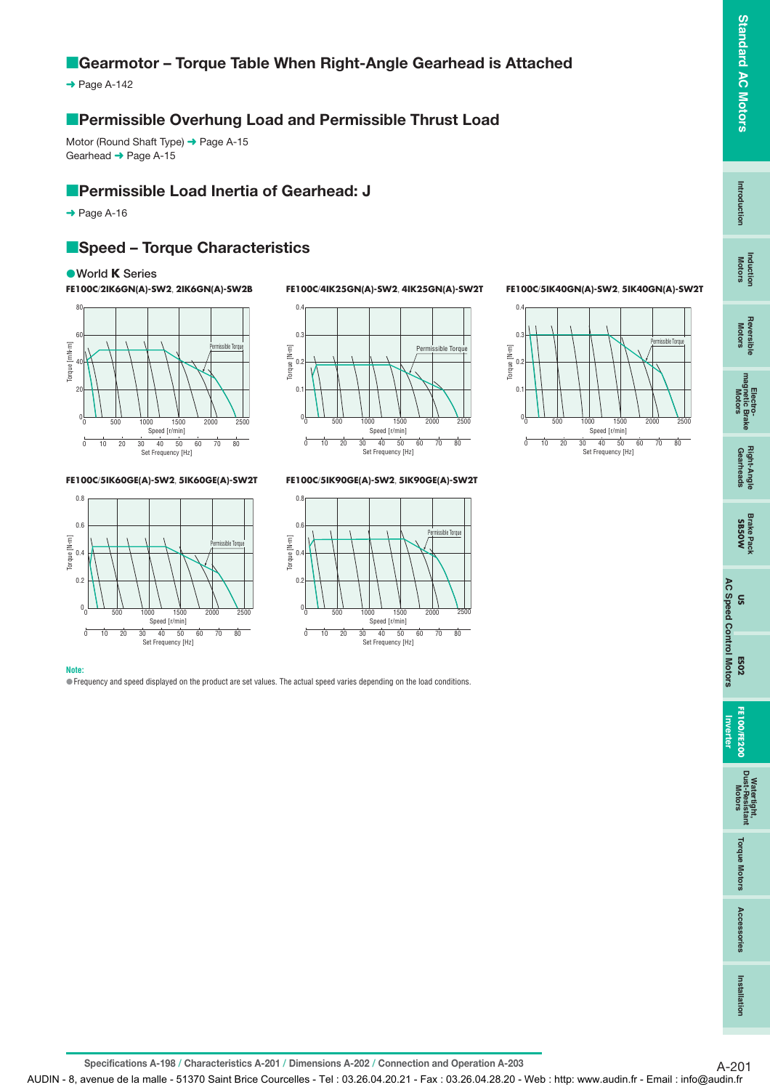## **E** Gearmotor - Torque Table When Right-Angle Gearhead is Attached

 $\rightarrow$  Page A-142

## **Permissible Overhung Load and Permissible Thrust Load**

Motor (Round Shaft Type) → Page A-15 Gearhead ➜ Page A-15

## **Permissible Load Inertia of Gearhead: J**

 $\rightarrow$  Page A-16

## **Speed - Torque Characteristics**

#### **World K Series**

**FE100C**/**2IK6GN(A)-SW2**, **2IK6GN(A)-SW2B**



**FE100C**/**5IK60GE(A)-SW2**, **5IK60GE(A)-SW2T**



**Note:**



**FE100C**/**4IK25GN(A)-SW2**, **4IK25GN(A)-SW2T**

**FE100C**/**5IK90GE(A)-SW2**, **5IK90GE(A)-SW2T**



#### **FE100C**/**5IK40GN(A)-SW2**, **5IK40GN(A)-SW2T**



**Standard AC Motors**

**Standard AC Motors** 

**Intro duction**

Introduction

**Induction Motors**

**Reversible** 

Electro-<br>magnetic Brake<br>Motors

**Specifications A-198 / Characteristics A-201 / Dimensions A-202 / Connection and Operation A-203** A-201

Frequency and speed displayed on the product are set values. The actual speed varies depending on the load conditions.

AUDIN - 8, avenue de la malle - 51370 Saint Brice Courcelles - Tel : 03.26.04.20.21 - Fax : 03.26.04.28.20 - Web : http: www.audin.fr - Email : info@audin.fr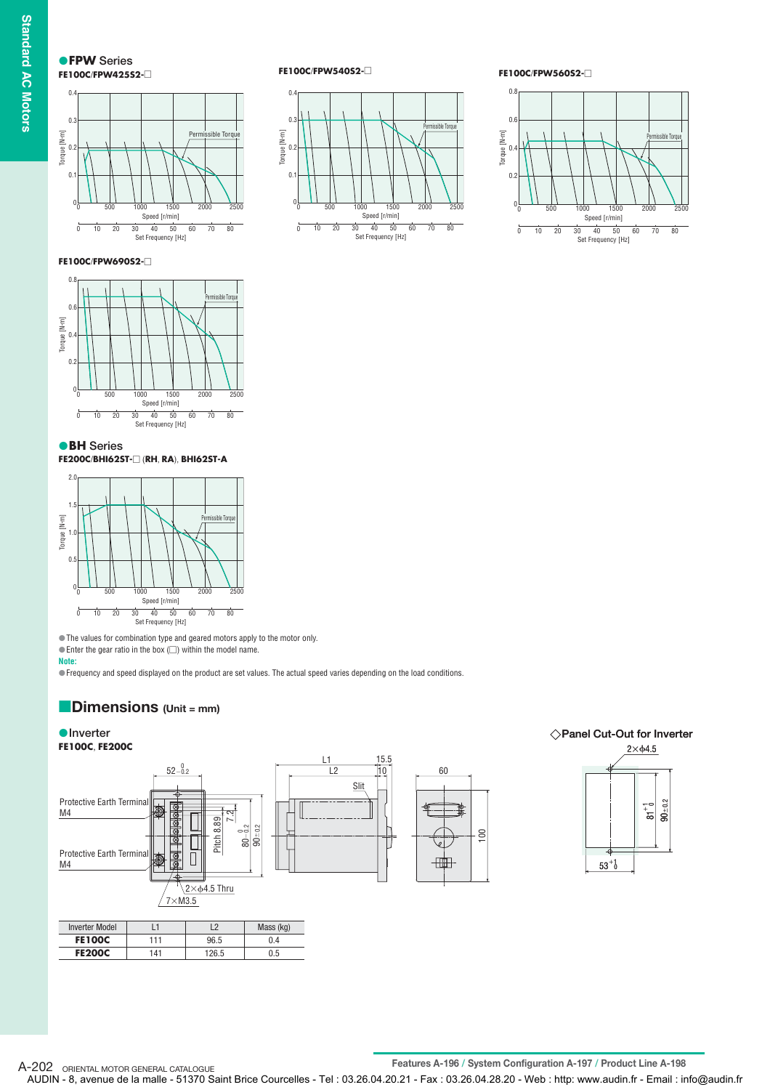**Standard AC Motors Standard AC Motors**

**FPW Series FE100C**/**FPW425S2-**



**FE100C**/**FPW540S2-**



**FE100C**/**FPW560S2-**



#### **FE100C**/**FPW690S2-**



**BH Series**

#### **FE200C**/**BHI62ST-** (**RH**, **RA**), **BHI62ST-A**



The values for combination type and geared motors apply to the motor only.

 $\bullet$  Enter the gear ratio in the box ( $\Box$ ) within the model name.

**Note:**

Frequency and speed displayed on the product are set values. The actual speed varies depending on the load conditions.

#### **Dimensions (Unit = mm)** -

#### **Inverter** ● Inverter **● Panel Cut-Out for Inverter FE100C**, **FE200C**  $2\times$   $64.5$ L1 15.5  $52 - 0.2$  $L2$  10 60 Slit Protective Earth Terminal  $\overline{18}$ <br> $\overline{18}$  $90_{\pm 0.2}$ Б M4 .<br>2 Pitch 8.89 9 $0^{+0.2}$ 100  $\approx$  $\overline{\overline{\mathsf{v}}}$  $\frac{1}{0}$ Protective Earth Terminal 曲 M4  $53^{+1}$ 2 $\times$ ф4.5 Thru  $7\times$ M3.5 Inverter Model | L1 | L2 | Mass (kg) **FE100C** 111 96.5 0.4 **FE200C** 141 126.5 0.5

A-202 ORIENTAL MOTOR GENERAL CATALOGUE<br> **Features A-196 / System Configuration A-197 / Product Line A-198** AUDIN - 8, avenue de la malle - 51370 Saint Brice Courcelles - Tel : 03.26.04.20.21 - Fax : 03.26.04.28.20 - Web : http: www.audin.fr - Email : info@audin.fr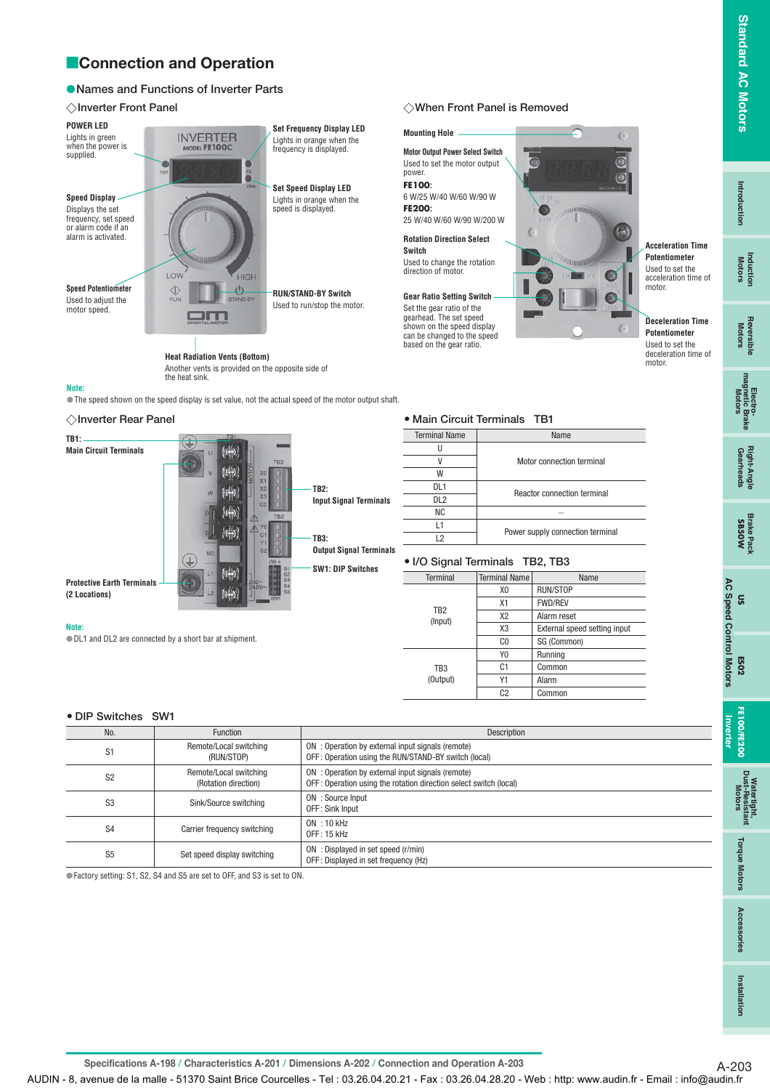## **Connection and Operation**

#### **Names and Functions of Inverter Parts**

#### **Inverter Front Panel**

**Note:**

**TB1:**

**Note:**

**Inverter Rear Panel**

**Main Circuit Terminals**

**Protective Earth Terminals (2 Locations)** 

| <b>POWER LED</b>                                                                       |                               | <b>Set Frequency Display LED</b>                          |
|----------------------------------------------------------------------------------------|-------------------------------|-----------------------------------------------------------|
| Lights in green<br>when the power is<br>supplied.                                      | INVERTER<br>MODEL FE100C      | Lights in orange when the<br>frequency is displayed.      |
|                                                                                        | PWR<br>thrin                  |                                                           |
| <b>Speed Display</b>                                                                   |                               | <b>Set Speed Display LED</b><br>Lights in orange when the |
| Displays the set<br>frequency, set speed<br>or alarm code if an<br>alarm is activated. | LOW<br><b>HIGH</b>            | speed is displayed.                                       |
| <b>Speed Potentiometer</b>                                                             |                               |                                                           |
| Used to adjust the<br>motor speed.                                                     | <b>RUN</b><br><b>STAND-BY</b> | <b>RUN/STAND-BY Switch</b><br>Used to run/stop the motor. |
|                                                                                        |                               |                                                           |
| <b>Heat Radiation Vents (Bottom)</b>                                                   |                               |                                                           |

the heat sink.

⊕

Another vents is provided on the opposite side of

The speed shown on the speed display is set value, not the actual speed of the motor output shaft.

 $(t)$  $k + 1$  $\left| \left( \cdot \right| \right)$ 洲  $\langle \phi \rangle$ 

 $(4)$ 

 $k\rightarrow$ 

#### **Mounting Hole** б **Motor Output Power Select Switch** Used to set the motor output power. **FE100:** 6 W/25 W/40 W/60 W/90 W **FE200:** 25 W/40 W/60 W/90 W/200 W  $\mathbb{C}$ **Rotation Direction Select Switch** Used to change the rotation direction of motor. Ø **Gear Ratio Setting Switch** Set the gear ratio of the gearhead. The set speed shown on the speed display can be changed to the speed based on the gear ratio.

V Motor connection terminal

DL1<br>
Reactor connection terminal<br>
DL2

L1 Power supply connection terminal L2

X0 RUN/STOP X1 FWD/REV X2 Alarm reset

C0 SG (Common)

Y0 Running C1 | Common Y1 Alarm C<sub>2</sub> Common

X3 External speed setting input

Terminal Terminal Name

 $NC$   $\qquad$   $\qquad$ 

**I/O Signal Terminals TB2, TB3**



**Deceleration Time Potentiometer** Used to set the deceleration time of motor.

**Standard AC Motors**

**Standard AC Motors** 

**Intro duction**

Introductior

**Induction Motors**

## Ā

Right-Angle<br>Gearheads

# **US**

**AC Speed Control Motors AC Speed Control Motors ES02**

## Dust **Motors** atertight,<br>i-Resistant

**Watertight, Dust-Resistant Motors Torque Motors Accessories Torque Motors** 

Acces: iories

**Installation**

Installation

S1 Remote/Local switching

DL1 and DL2 are connected by a short bar at shipment.

S2 Remote/Local switching<br>
S2 Remote/Local switching

(RUN/STOP)

(Rotation direction)

 $S4$  Carrier frequency switching  $\begin{array}{ccc} & | & \text{ON} : 10 \text{ kHz} \\ \text{OFT} : 15 \text{ kHz} \end{array}$ 

S3 Sink/Source switching ON : Source Input

S5 Set speed display switching ON : Displayed in set speed (r/min)

**DIP Switches SW1**

#### $\diamondsuit$ Inverter Front Panel is Removed is Removed in Front Panel is Removed in American and International International International International International International International International International Intern

**Main Circuit Terminals TB1** Terminal Name | Name

 $\overline{U}$ 

W

TB2 (Input)

 TB3 (Output)

No. Function Description

**TB2:**

**TB3:**

**Input Signal Terminals**

**Output Signal Terminals SW1: DIP Switches**

OFF : Sink Input

OFF : 15 kHz

Specifications A-198 / Characteristics A-201 / Dimensions A-202 / Connection and Operation A-203

AUDIN - 8, avenue de la malle - 51370 Saint Brice Courcelles - Tel : 03.26.04.20.21 - Fax : 03.26.04.28.20 - Web : http: www.audin.fr - Email : info@audin.fr

ON : Operation by external input signals (remote) OFF : Operation using the RUN/STAND-BY switch (local)

ON : Operation by external input signals (remote) OFF : Operation using the rotation direction select switch (local)

OFF : Displayed in set frequency (Hz)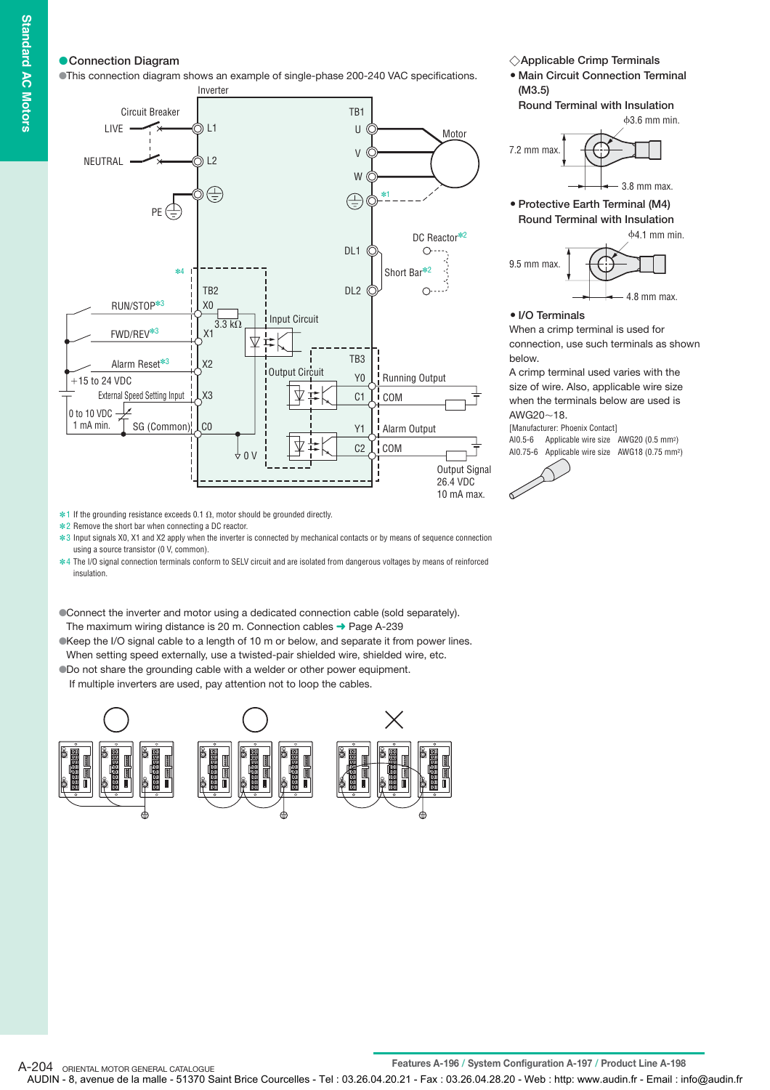### **Connection Diagram**

This connection diagram shows an example of single-phase 200-240 VAC specifications.



**Applicable Crimp Terminals**

**Main Circuit Connection Terminal (M3.5)**

**Round Terminal with Insulation**



**Protective Earth Terminal (M4) Round Terminal with Insulation**



#### **I/O Terminals**

When a crimp terminal is used for connection, use such terminals as shown below.

A crimp terminal used varies with the size of wire. Also, applicable wire size when the terminals below are used is  $AWG20~18$ .

[Manufacturer: Phoenix Contact] AI0.5-6 Applicable wire size AWG20 (0.5 mm2) AI0.75-6 Applicable wire size AWG18 (0.75 mm2)



 $*1$  If the grounding resistance exceeds 0.1  $\Omega$ , motor should be grounded directly.

**∗2** Remove the short bar when connecting a DC reactor.

 $*3$  Input signals X0, X1 and X2 apply when the inverter is connected by mechanical contacts or by means of sequence connection using a source transistor (0 V, common).

4 The I/O signal connection terminals conform to SELV circuit and are isolated from dangerous voltages by means of reinforced ✽ insulation.

Connect the inverter and motor using a dedicated connection cable (sold separately). The maximum wiring distance is 20 m. Connection cables ➜ Page A-239

Keep the I/O signal cable to a length of 10 m or below, and separate it from power lines. When setting speed externally, use a twisted-pair shielded wire, shielded wire, etc.

Do not share the grounding cable with a welder or other power equipment.

If multiple inverters are used, pay attention not to loop the cables.

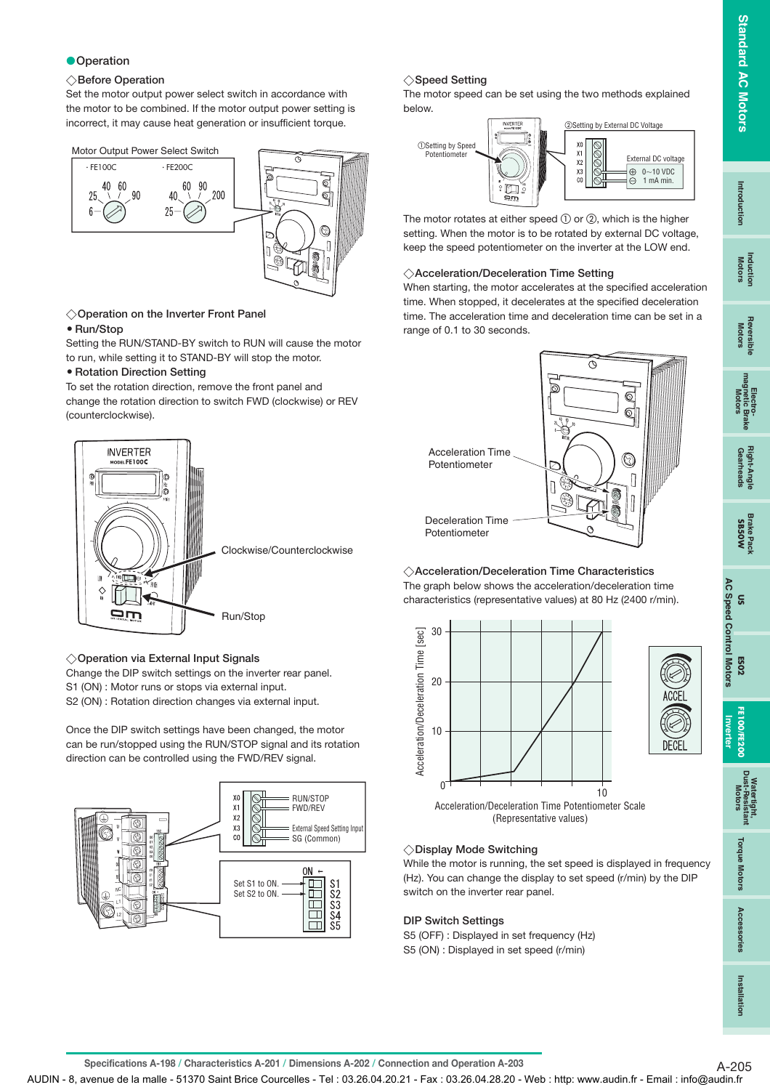# **Standard AC Motors Standard AC Motors**

**Inverter**

#### **Operation**

#### **Before Operation**

Set the motor output power select switch in accordance with the motor to be combined. If the motor output power setting is incorrect, it may cause heat generation or insufficient torque.



## **Operation on the Inverter Front Panel**

#### **Run/Stop**

Setting the RUN/STAND-BY switch to RUN will cause the motor to run, while setting it to STAND-BY will stop the motor.

#### **• Rotation Direction Setting**

To set the rotation direction, remove the front panel and change the rotation direction to switch FWD (clockwise) or REV (counterclockwise).



#### **Operation via External Input Signals**

Change the DIP switch settings on the inverter rear panel.

S1 (ON) : Motor runs or stops via external input.

S2 (ON) : Rotation direction changes via external input.

Once the DIP switch settings have been changed, the motor can be run/stopped using the RUN/STOP signal and its rotation direction can be controlled using the FWD/REV signal.



## **Speed Setting**

The motor speed can be set using the two methods explained below.



The motor rotates at either speed  $\textcircled{1}$  or  $\textcircled{2}$ , which is the higher setting. When the motor is to be rotated by external DC voltage, keep the speed potentiometer on the inverter at the LOW end.

#### **Acceleration/Deceleration Time Setting**

When starting, the motor accelerates at the specified acceleration time. When stopped, it decelerates at the specified deceleration time. The acceleration time and deceleration time can be set in a range of 0.1 to 30 seconds.



**Acceleration/Deceleration Time Characteristics** The graph below shows the acceleration/deceleration time characteristics (representative values) at 80 Hz (2400 r/min).



(Representative values)

### **Display Mode Switching**

While the motor is running, the set speed is displayed in frequency (Hz). You can change the display to set speed (r/min) by the DIP switch on the inverter rear panel.

### **DIP Switch Settings**

S5 (OFF) : Displayed in set frequency (Hz) S5 (ON) : Displayed in set speed (r/min)

**Specifications A-198 / Characteristics A-201 / Dimensions A-202 / Connection and Operation A-203** A-205

AUDIN - 8, avenue de la malle - 51370 Saint Brice Courcelles - Tel : 03.26.04.20.21 - Fax : 03.26.04.28.20 - Web : http: www.audin.fr - Email : info@audin.fr